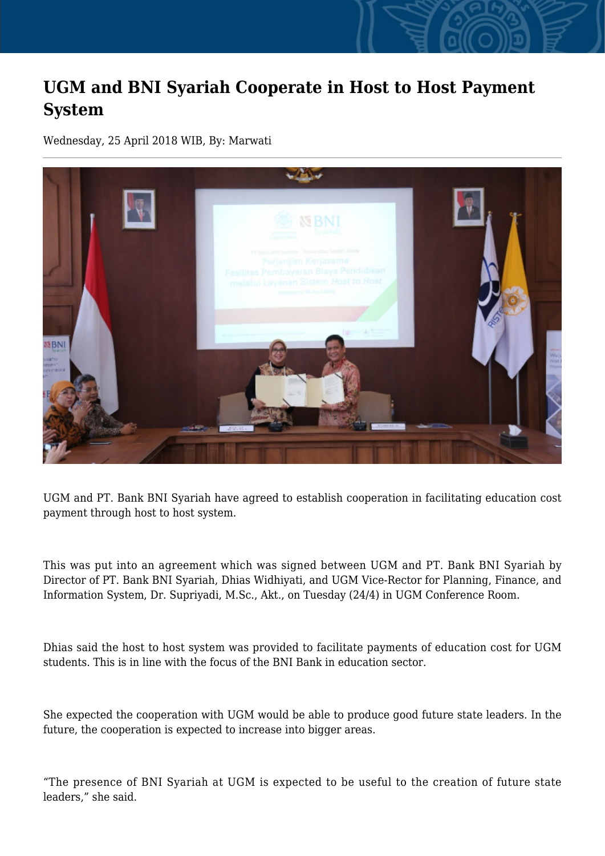## **UGM and BNI Syariah Cooperate in Host to Host Payment System**

Wednesday, 25 April 2018 WIB, By: Marwati



UGM and PT. Bank BNI Syariah have agreed to establish cooperation in facilitating education cost payment through host to host system.

This was put into an agreement which was signed between UGM and PT. Bank BNI Syariah by Director of PT. Bank BNI Syariah, Dhias Widhiyati, and UGM Vice-Rector for Planning, Finance, and Information System, Dr. Supriyadi, M.Sc., Akt., on Tuesday (24/4) in UGM Conference Room.

Dhias said the host to host system was provided to facilitate payments of education cost for UGM students. This is in line with the focus of the BNI Bank in education sector.

She expected the cooperation with UGM would be able to produce good future state leaders. In the future, the cooperation is expected to increase into bigger areas.

"The presence of BNI Syariah at UGM is expected to be useful to the creation of future state leaders," she said.